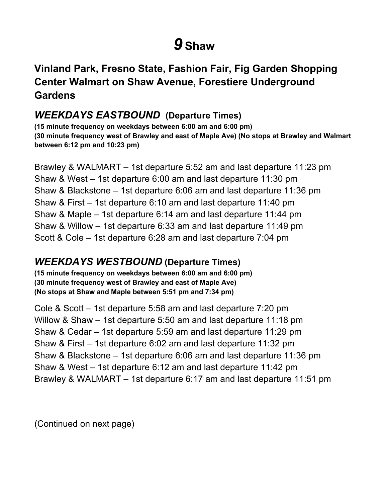# *9* **Shaw**

# **Center Walmart on Shaw Avenue, Forestiere Underground Vinland Park, Fresno State, Fashion Fair, Fig Garden Shopping Gardens**

#### *WEEKDAYS EASTBOUND* **(Departure Times)**

 **between 6:12 pm and 10:23 pm) (15 minute frequency on weekdays between 6:00 am and 6:00 pm) (30 minute frequency west of Brawley and east of Maple Ave) (No stops at Brawley and Walmart** 

 Brawley & WALMART – 1st departure 5:52 am and last departure 11:23 pm Shaw & West – 1st departure 6:00 am and last departure 11:30 pm Shaw & Blackstone – 1st departure 6:06 am and last departure 11:36 pm Shaw & First – 1st departure 6:10 am and last departure 11:40 pm Shaw & Maple – 1st departure 6:14 am and last departure 11:44 pm Shaw & Willow – 1st departure 6:33 am and last departure 11:49 pm Scott & Cole – 1st departure 6:28 am and last departure 7:04 pm

#### *WEEKDAYS WESTBOUND* **(Departure Times)**

 **(No stops at Shaw and Maple between 5:51 pm and 7:34 pm) (15 minute frequency on weekdays between 6:00 am and 6:00 pm) (30 minute frequency west of Brawley and east of Maple Ave)** 

 Cole & Scott – 1st departure 5:58 am and last departure 7:20 pm Willow & Shaw – 1st departure 5:50 am and last departure 11:18 pm Shaw & Cedar – 1st departure 5:59 am and last departure 11:29 pm Shaw & First – 1st departure 6:02 am and last departure 11:32 pm Shaw & Blackstone – 1st departure 6:06 am and last departure 11:36 pm Shaw & West – 1st departure 6:12 am and last departure 11:42 pm Brawley & WALMART – 1st departure 6:17 am and last departure 11:51 pm

(Continued on next page)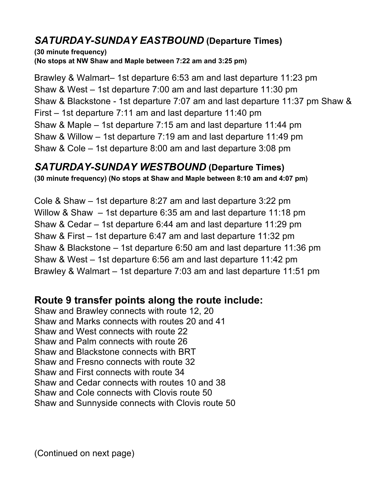### *SATURDAY-SUNDAY EASTBOUND* **(Departure Times)**

**(30 minute frequency) (No stops at NW Shaw and Maple between 7:22 am and 3:25 pm)** 

 Brawley & Walmart– 1st departure 6:53 am and last departure 11:23 pm Shaw & West – 1st departure 7:00 am and last departure 11:30 pm Shaw & Blackstone - 1st departure 7:07 am and last departure 11:37 pm Shaw & First – 1st departure 7:11 am and last departure 11:40 pm Shaw & Maple – 1st departure 7:15 am and last departure 11:44 pm Shaw & Willow – 1st departure 7:19 am and last departure 11:49 pm Shaw & Cole – 1st departure 8:00 am and last departure 3:08 pm

#### *SATURDAY-SUNDAY WESTBOUND* **(Departure Times)**

 **(30 minute frequency) (No stops at Shaw and Maple between 8:10 am and 4:07 pm)** 

 Cole & Shaw – 1st departure 8:27 am and last departure 3:22 pm Willow & Shaw – 1st departure 6:35 am and last departure 11:18 pm Shaw & Cedar – 1st departure 6:44 am and last departure 11:29 pm Shaw & First – 1st departure 6:47 am and last departure 11:32 pm Shaw & Blackstone – 1st departure 6:50 am and last departure 11:36 pm Shaw & West – 1st departure 6:56 am and last departure 11:42 pm Brawley & Walmart – 1st departure 7:03 am and last departure 11:51 pm

# **Route 9 transfer points along the route include:**

 Shaw and Brawley connects with route 12, 20 Shaw and Marks connects with routes 20 and 41 Shaw and West connects with route 22 Shaw and Palm connects with route 26 Shaw and Blackstone connects with BRT Shaw and Fresno connects with route 32 Shaw and Cedar connects with routes 10 and 38 Shaw and Cole connects with Clovis route 50 Shaw and Sunnyside connects with Clovis route 50 Shaw and First connects with route 34

(Continued on next page)